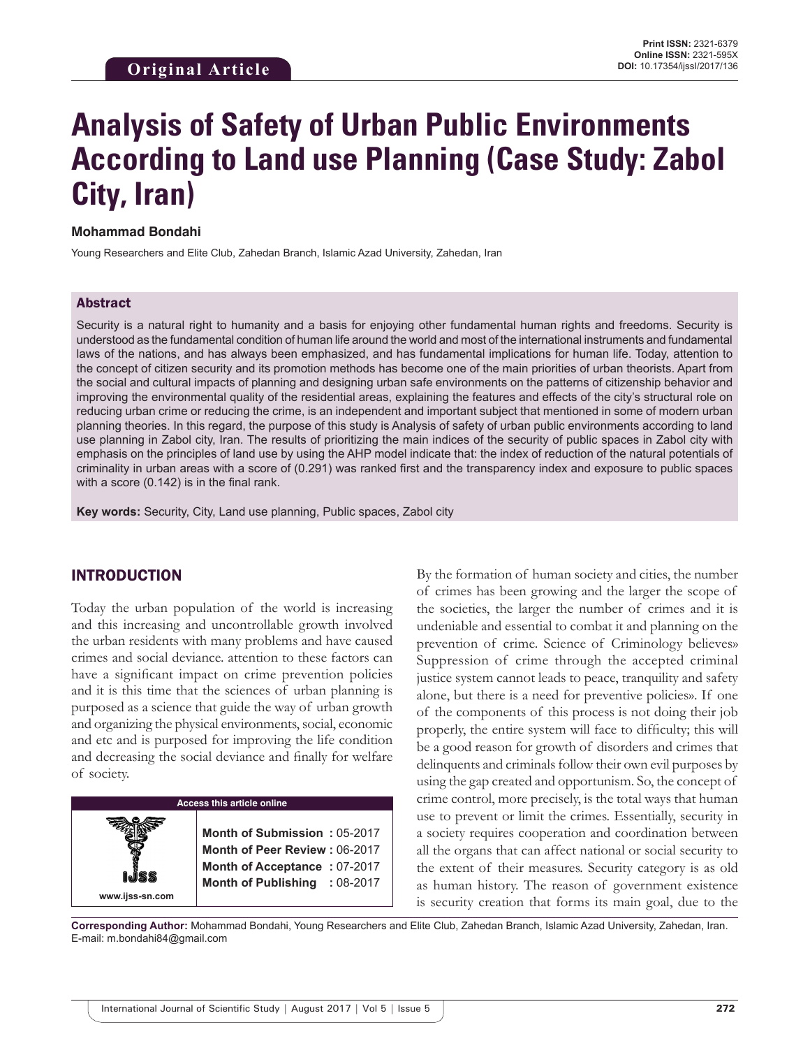# **Analysis of Safety of Urban Public Environments According to Land use Planning (Case Study: Zabol City, Iran)**

#### **Mohammad Bondahi**

Young Researchers and Elite Club, Zahedan Branch, Islamic Azad University, Zahedan, Iran

#### Abstract

Security is a natural right to humanity and a basis for enjoying other fundamental human rights and freedoms. Security is understood as the fundamental condition of human life around the world and most of the international instruments and fundamental laws of the nations, and has always been emphasized, and has fundamental implications for human life. Today, attention to the concept of citizen security and its promotion methods has become one of the main priorities of urban theorists. Apart from the social and cultural impacts of planning and designing urban safe environments on the patterns of citizenship behavior and improving the environmental quality of the residential areas, explaining the features and effects of the city's structural role on reducing urban crime or reducing the crime, is an independent and important subject that mentioned in some of modern urban planning theories. In this regard, the purpose of this study is Analysis of safety of urban public environments according to land use planning in Zabol city, Iran. The results of prioritizing the main indices of the security of public spaces in Zabol city with emphasis on the principles of land use by using the AHP model indicate that: the index of reduction of the natural potentials of criminality in urban areas with a score of (0.291) was ranked first and the transparency index and exposure to public spaces with a score (0.142) is in the final rank.

**Key words:** Security, City, Land use planning, Public spaces, Zabol city

#### INTRODUCTION

Today the urban population of the world is increasing and this increasing and uncontrollable growth involved the urban residents with many problems and have caused crimes and social deviance. attention to these factors can have a significant impact on crime prevention policies and it is this time that the sciences of urban planning is purposed as a science that guide the way of urban growth and organizing the physical environments, social, economic and etc and is purposed for improving the life condition and decreasing the social deviance and finally for welfare of society.



By the formation of human society and cities, the number of crimes has been growing and the larger the scope of the societies, the larger the number of crimes and it is undeniable and essential to combat it and planning on the prevention of crime. Science of Criminology believes» Suppression of crime through the accepted criminal justice system cannot leads to peace, tranquility and safety alone, but there is a need for preventive policies». If one of the components of this process is not doing their job properly, the entire system will face to difficulty; this will be a good reason for growth of disorders and crimes that delinquents and criminals follow their own evil purposes by using the gap created and opportunism. So, the concept of crime control, more precisely, is the total ways that human use to prevent or limit the crimes. Essentially, security in a society requires cooperation and coordination between all the organs that can affect national or social security to the extent of their measures. Security category is as old as human history. The reason of government existence is security creation that forms its main goal, due to the

**Corresponding Author:** Mohammad Bondahi, Young Researchers and Elite Club, Zahedan Branch, Islamic Azad University, Zahedan, Iran. E-mail: m.bondahi84@gmail.com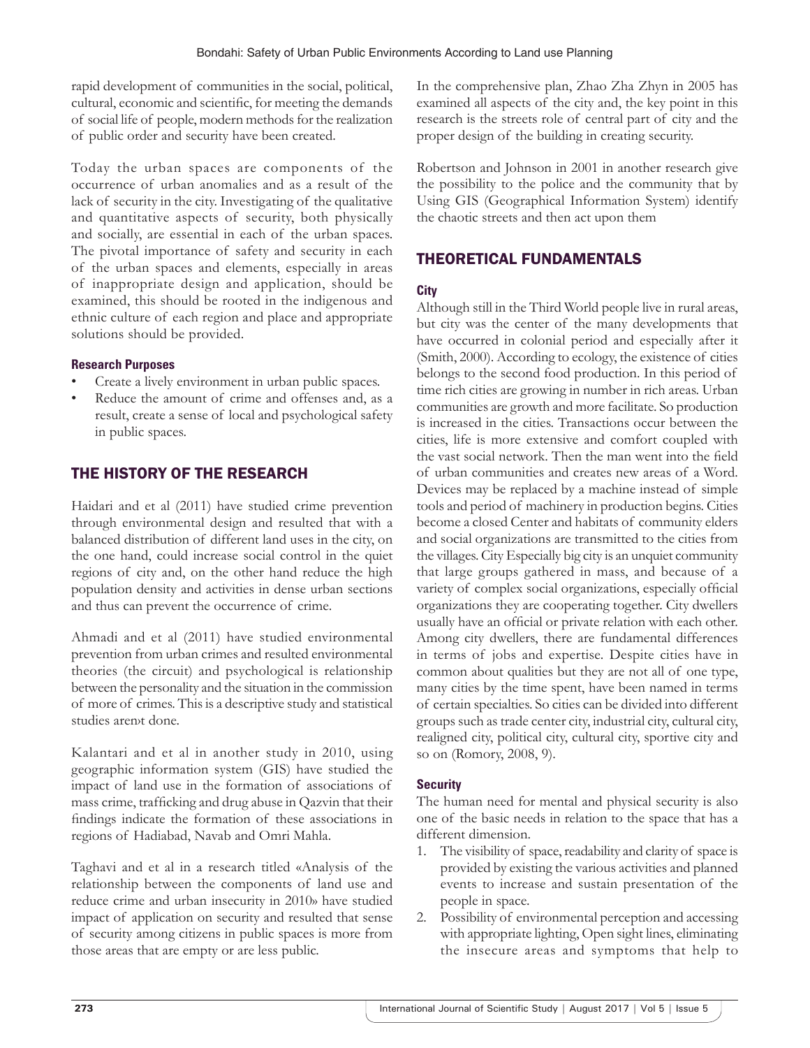rapid development of communities in the social, political, cultural, economic and scientific, for meeting the demands of social life of people, modern methods for the realization of public order and security have been created.

Today the urban spaces are components of the occurrence of urban anomalies and as a result of the lack of security in the city. Investigating of the qualitative and quantitative aspects of security, both physically and socially, are essential in each of the urban spaces. The pivotal importance of safety and security in each of the urban spaces and elements, especially in areas of inappropriate design and application, should be examined, this should be rooted in the indigenous and ethnic culture of each region and place and appropriate solutions should be provided.

#### **Research Purposes**

- Create a lively environment in urban public spaces.
- Reduce the amount of crime and offenses and, as a result, create a sense of local and psychological safety in public spaces.

# THE HISTORY OF THE RESEARCH

Haidari and et al (2011) have studied crime prevention through environmental design and resulted that with a balanced distribution of different land uses in the city, on the one hand, could increase social control in the quiet regions of city and, on the other hand reduce the high population density and activities in dense urban sections and thus can prevent the occurrence of crime.

Ahmadi and et al (2011) have studied environmental prevention from urban crimes and resulted environmental theories (the circuit) and psychological is relationship between the personality and the situation in the commission of more of crimes. This is a descriptive study and statistical studies arenyt done.

Kalantari and et al in another study in 2010, using geographic information system (GIS) have studied the impact of land use in the formation of associations of mass crime, trafficking and drug abuse in Qazvin that their findings indicate the formation of these associations in regions of Hadiabad, Navab and Omri Mahla.

Taghavi and et al in a research titled «Analysis of the relationship between the components of land use and reduce crime and urban insecurity in 2010» have studied impact of application on security and resulted that sense of security among citizens in public spaces is more from those areas that are empty or are less public.

In the comprehensive plan, Zhao Zha Zhyn in 2005 has examined all aspects of the city and, the key point in this research is the streets role of central part of city and the proper design of the building in creating security.

Robertson and Johnson in 2001 in another research give the possibility to the police and the community that by Using GIS (Geographical Information System) identify the chaotic streets and then act upon them

# THEORETICAL FUNDAMENTALS

## **City**

Although still in the Third World people live in rural areas, but city was the center of the many developments that have occurred in colonial period and especially after it (Smith, 2000). According to ecology, the existence of cities belongs to the second food production. In this period of time rich cities are growing in number in rich areas. Urban communities are growth and more facilitate. So production is increased in the cities. Transactions occur between the cities, life is more extensive and comfort coupled with the vast social network. Then the man went into the field of urban communities and creates new areas of a Word. Devices may be replaced by a machine instead of simple tools and period of machinery in production begins. Cities become a closed Center and habitats of community elders and social organizations are transmitted to the cities from the villages. City Especially big city is an unquiet community that large groups gathered in mass, and because of a variety of complex social organizations, especially official organizations they are cooperating together. City dwellers usually have an official or private relation with each other. Among city dwellers, there are fundamental differences in terms of jobs and expertise. Despite cities have in common about qualities but they are not all of one type, many cities by the time spent, have been named in terms of certain specialties. So cities can be divided into different groups such as trade center city, industrial city, cultural city, realigned city, political city, cultural city, sportive city and so on (Romory, 2008, 9).

## **Security**

The human need for mental and physical security is also one of the basic needs in relation to the space that has a different dimension.

- 1. The visibility of space, readability and clarity of space is provided by existing the various activities and planned events to increase and sustain presentation of the people in space.
- 2. Possibility of environmental perception and accessing with appropriate lighting, Open sight lines, eliminating the insecure areas and symptoms that help to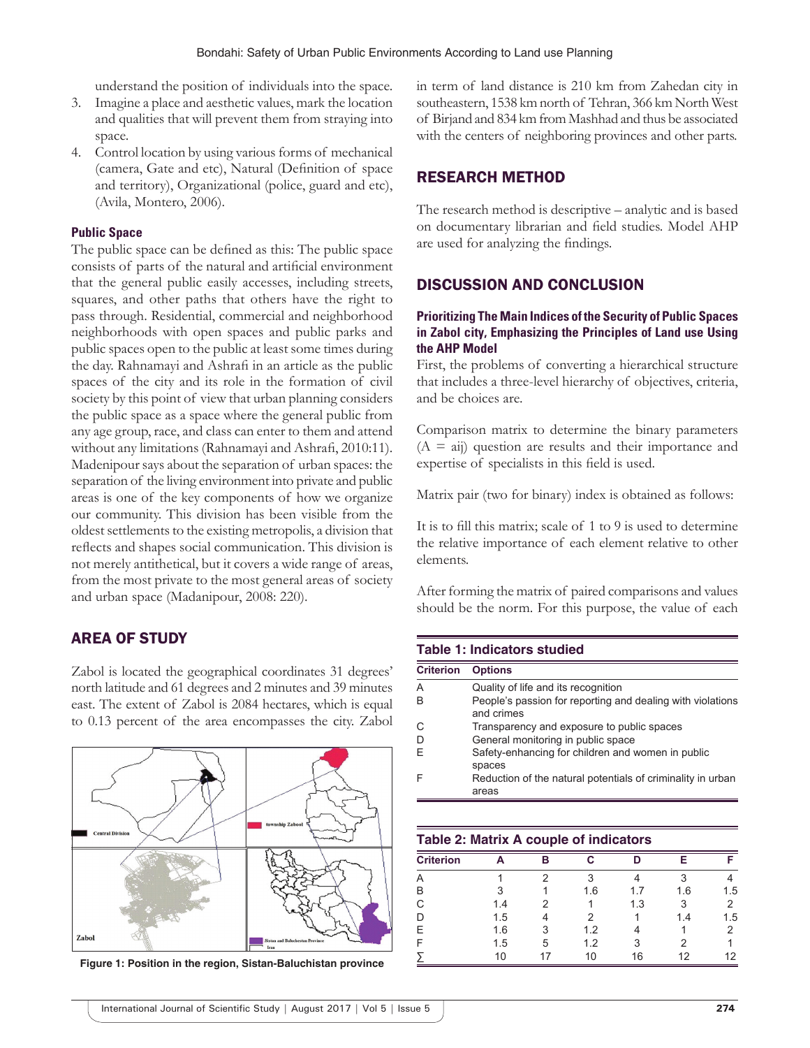understand the position of individuals into the space.

- 3. Imagine a place and aesthetic values, mark the location and qualities that will prevent them from straying into space.
- 4. Control location by using various forms of mechanical (camera, Gate and etc), Natural (Definition of space and territory), Organizational (police, guard and etc), (Avila, Montero, 2006).

#### **Public Space**

The public space can be defined as this: The public space consists of parts of the natural and artificial environment that the general public easily accesses, including streets, squares, and other paths that others have the right to pass through. Residential, commercial and neighborhood neighborhoods with open spaces and public parks and public spaces open to the public at least some times during the day. Rahnamayi and Ashrafi in an article as the public spaces of the city and its role in the formation of civil society by this point of view that urban planning considers the public space as a space where the general public from any age group, race, and class can enter to them and attend without any limitations (Rahnamayi and Ashrafi, 2010:11). Madenipour says about the separation of urban spaces: the separation of the living environment into private and public areas is one of the key components of how we organize our community. This division has been visible from the oldest settlements to the existing metropolis, a division that reflects and shapes social communication. This division is not merely antithetical, but it covers a wide range of areas, from the most private to the most general areas of society and urban space (Madanipour, 2008: 220).

#### AREA OF STUDY

Zabol is located the geographical coordinates 31 degrees' north latitude and 61 degrees and 2 minutes and 39 minutes east. The extent of Zabol is 2084 hectares, which is equal to 0.13 percent of the area encompasses the city. Zabol



**Figure 1: Position in the region, Sistan-Baluchistan province**

in term of land distance is 210 km from Zahedan city in southeastern, 1538 km north of Tehran, 366 km North West of Birjand and 834 km from Mashhad and thus be associated with the centers of neighboring provinces and other parts.

#### RESEARCH METHOD

The research method is descriptive – analytic and is based on documentary librarian and field studies. Model AHP are used for analyzing the findings.

## DISCUSSION AND CONCLUSION

#### **Prioritizing The Main Indices of the Security of Public Spaces in Zabol city, Emphasizing the Principles of Land use Using the AHP Model**

First, the problems of converting a hierarchical structure that includes a three-level hierarchy of objectives, criteria, and be choices are.

Comparison matrix to determine the binary parameters  $(A = ai)$  question are results and their importance and expertise of specialists in this field is used.

Matrix pair (two for binary) index is obtained as follows:

It is to fill this matrix; scale of 1 to 9 is used to determine the relative importance of each element relative to other elements.

After forming the matrix of paired comparisons and values should be the norm. For this purpose, the value of each

#### **Table 1: Indicators studied**

| <b>Criterion</b> | <b>Options</b>                                                           |
|------------------|--------------------------------------------------------------------------|
| A                | Quality of life and its recognition                                      |
| B                | People's passion for reporting and dealing with violations<br>and crimes |
| С                | Transparency and exposure to public spaces                               |
| D                | General monitoring in public space                                       |
| F                | Safety-enhancing for children and women in public<br>spaces              |
| F                | Reduction of the natural potentials of criminality in urban<br>areas     |
|                  |                                                                          |
|                  | Table 2: Matrix A couple of indicators                                   |

| Table 2. Matrix A couple of malcators |     |   |     |     |     |     |  |  |
|---------------------------------------|-----|---|-----|-----|-----|-----|--|--|
| <b>Criterion</b>                      |     |   |     |     |     |     |  |  |
| А                                     |     |   |     |     |     |     |  |  |
| B                                     |     |   | 1.6 | 17  | 1.6 | 1.5 |  |  |
| C                                     | 1.4 |   |     | 1.3 |     |     |  |  |
| Ð                                     | 1.5 |   |     |     | 1.4 | 1.5 |  |  |
| Е                                     | 1.6 |   | 1.2 |     |     |     |  |  |
|                                       | 1.5 | 5 | 1.2 |     |     |     |  |  |
|                                       | 10  |   | 10  | 16  | 12  | 12  |  |  |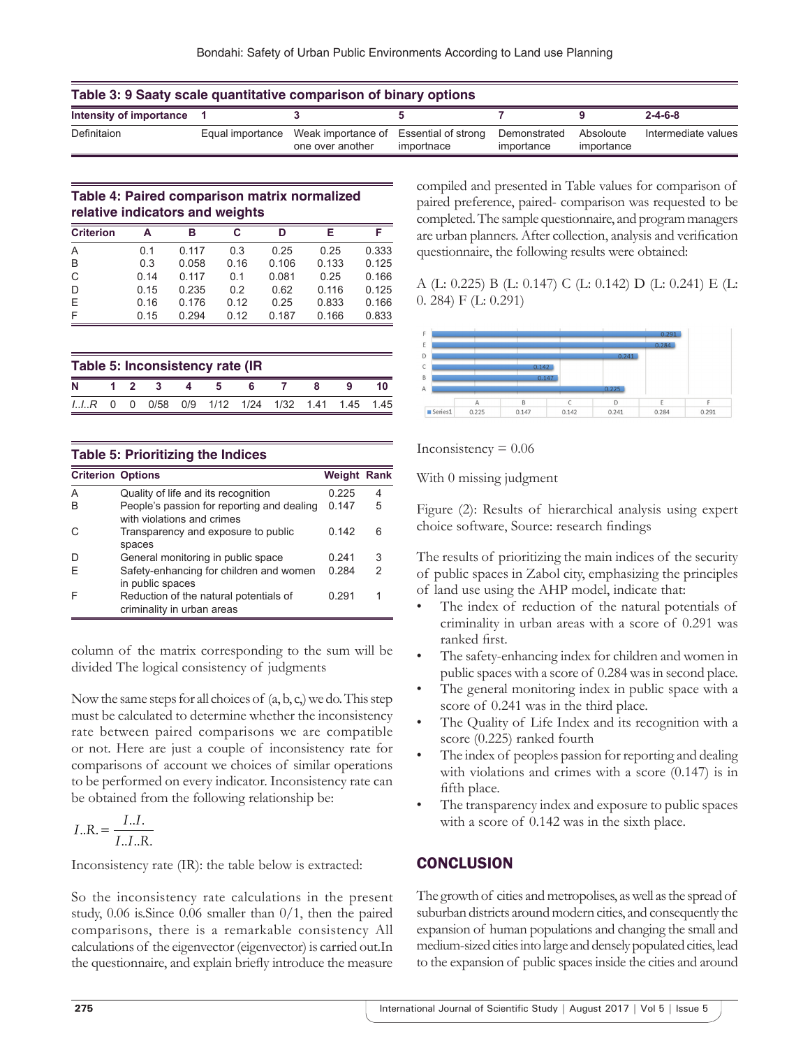| Table 3: 9 Saaty scale quantitative comparison of binary options |  |                                                                             |            |                            |                         |                     |  |
|------------------------------------------------------------------|--|-----------------------------------------------------------------------------|------------|----------------------------|-------------------------|---------------------|--|
| Intensity of importance 1                                        |  |                                                                             |            |                            |                         | $2 - 4 - 6 - 8$     |  |
| Definitaion                                                      |  | Equal importance Weak importance of Essential of strong<br>one over another | importnace | Demonstrated<br>importance | Absoloute<br>importance | Intermediate values |  |

### **Table 4: Paired comparison matrix normalized relative indicators and weights**

| <b>Criterion</b> | А    | в     | C    |       |       |       |
|------------------|------|-------|------|-------|-------|-------|
| A                | 01   | 0.117 | 0.3  | 0.25  | 0.25  | 0.333 |
| B                | 0.3  | 0.058 | 0.16 | 0.106 | 0.133 | 0.125 |
| C                | 0.14 | 0.117 | 0.1  | 0.081 | 0.25  | 0.166 |
| D                | 0.15 | 0.235 | 0.2  | 0.62  | 0.116 | 0.125 |
| Ε                | 0.16 | 0.176 | 0.12 | 0.25  | 0.833 | 0.166 |
| F                | 0.15 | 0 294 | 0.12 | 0.187 | 0.166 | 0.833 |

| Table 5: Inconsistency rate (IR |  |                |  |  |  |   |  |  |                                         |     |
|---------------------------------|--|----------------|--|--|--|---|--|--|-----------------------------------------|-----|
| N                               |  | $1\quad 2$     |  |  |  | ĸ |  |  |                                         |     |
| $IIR$ 0                         |  | $\overline{0}$ |  |  |  |   |  |  | 0/58  0/9  1/12  1/24  1/32  1.41  1.45 | 145 |

| <b>Table 5: Prioritizing the Indices</b> |                                                                          |                    |   |  |  |  |  |
|------------------------------------------|--------------------------------------------------------------------------|--------------------|---|--|--|--|--|
| <b>Criterion Options</b>                 |                                                                          | <b>Weight Rank</b> |   |  |  |  |  |
| A                                        | Quality of life and its recognition                                      | 0.225              | 4 |  |  |  |  |
| R                                        | People's passion for reporting and dealing<br>with violations and crimes | 0.147              | 5 |  |  |  |  |
|                                          | Transparency and exposure to public<br>spaces                            | 0.142              | 6 |  |  |  |  |
|                                          | General monitoring in public space                                       | 0.241              | 3 |  |  |  |  |
|                                          | Safety-enhancing for children and women<br>in public spaces              | 0.284              | 2 |  |  |  |  |
|                                          | Reduction of the natural potentials of<br>criminality in urban areas     | በ 291              | 1 |  |  |  |  |

column of the matrix corresponding to the sum will be divided The logical consistency of judgments

Now the same steps for all choices of  $(a, b, c)$  we do. This step must be calculated to determine whether the inconsistency rate between paired comparisons we are compatible or not. Here are just a couple of inconsistency rate for comparisons of account we choices of similar operations to be performed on every indicator. Inconsistency rate can be obtained from the following relationship be:

$$
I..R. = \frac{I..I.}{I..I..R.}
$$

Inconsistency rate (IR): the table below is extracted:

So the inconsistency rate calculations in the present study, 0.06 is.Since 0.06 smaller than 0/1, then the paired comparisons, there is a remarkable consistency All calculations of the eigenvector (eigenvector) is carried out.In the questionnaire, and explain briefly introduce the measure compiled and presented in Table values for comparison of paired preference, paired- comparison was requested to be completed. The sample questionnaire, and program managers are urban planners. After collection, analysis and verification questionnaire, the following results were obtained:

## A (L: 0.225) B (L: 0.147) C (L: 0.142) D (L: 0.241) E (L: 0. 284) F (L: 0.291)



Inconsistency  $= 0.06$ 

With 0 missing judgment

Figure (2): Results of hierarchical analysis using expert choice software, Source: research findings

The results of prioritizing the main indices of the security of public spaces in Zabol city, emphasizing the principles of land use using the AHP model, indicate that:

- The index of reduction of the natural potentials of criminality in urban areas with a score of 0.291 was ranked first.
- The safety-enhancing index for children and women in public spaces with a score of 0.284 was in second place.
- The general monitoring index in public space with a score of 0.241 was in the third place.
- The Quality of Life Index and its recognition with a score (0.225) ranked fourth
- The index of peopless passion for reporting and dealing with violations and crimes with a score (0.147) is in fifth place.
- The transparency index and exposure to public spaces with a score of  $0.142$  was in the sixth place.

## **CONCLUSION**

The growth of cities and metropolises, as well as the spread of suburban districts around modern cities, and consequently the expansion of human populations and changing the small and medium-sized cities into large and densely populated cities, lead to the expansion of public spaces inside the cities and around